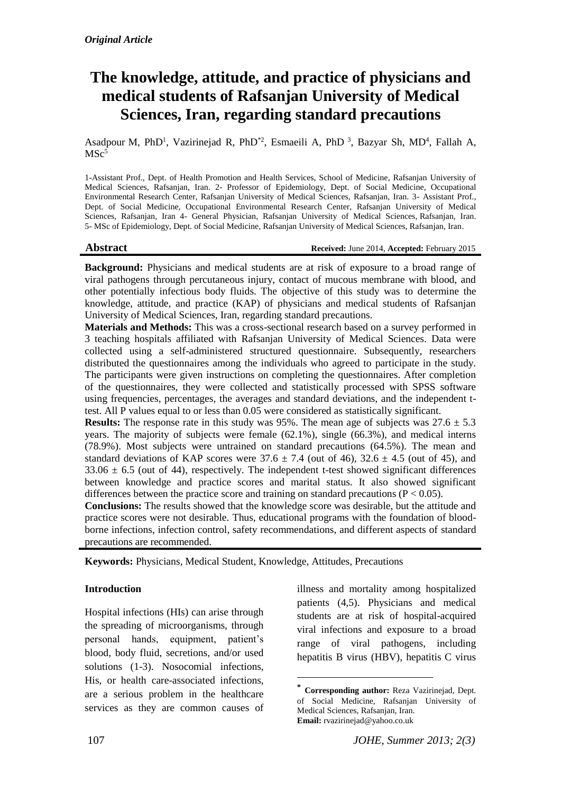# **The knowledge, attitude, and practice of physicians and medical students of Rafsanjan University of Medical Sciences, Iran, regarding standard precautions**

Asadpour M, PhD<sup>1</sup>, Vazirinejad R, PhD<sup>\*2</sup>, Esmaeili A, PhD<sup>3</sup>, Bazyar Sh, MD<sup>4</sup>, Fallah A,  $MSc<sup>5</sup>$ 

1-Assistant Prof., Dept. of Health Promotion and Health Services, School of Medicine, Rafsanjan University of Medical Sciences, Rafsanjan, Iran. 2- Professor of Epidemiology, Dept. of Social Medicine, Occupational Environmental Research Center, Rafsanjan University of Medical Sciences, Rafsanjan, Iran. 3- Assistant Prof., Dept. of Social Medicine, Occupational Environmental Research Center, Rafsanjan University of Medical Sciences, Rafsanjan, Iran 4- General Physician, Rafsanjan University of Medical Sciences, Rafsanjan, Iran. 5- MSc of Epidemiology, Dept. of Social Medicine, Rafsanjan University of Medical Sciences, Rafsanjan, Iran.

#### **Abstract Received:** June 2014, **Accepted:** February 2015

**Background:** Physicians and medical students are at risk of exposure to a broad range of viral pathogens through percutaneous injury, contact of mucous membrane with blood, and other potentially infectious body fluids. The objective of this study was to determine the knowledge, attitude, and practice (KAP) of physicians and medical students of Rafsanjan University of Medical Sciences, Iran, regarding standard precautions.

**Materials and Methods:** This was a cross-sectional research based on a survey performed in 3 teaching hospitals affiliated with Rafsanjan University of Medical Sciences. Data were collected using a self-administered structured questionnaire. Subsequently, researchers distributed the questionnaires among the individuals who agreed to participate in the study. The participants were given instructions on completing the questionnaires. After completion of the questionnaires, they were collected and statistically processed with SPSS software using frequencies, percentages, the averages and standard deviations, and the independent ttest. All P values equal to or less than 0.05 were considered as statistically significant.

**Results:** The response rate in this study was  $95\%$ . The mean age of subjects was  $27.6 \pm 5.3$ years. The majority of subjects were female (62.1%), single (66.3%), and medical interns (78.9%). Most subjects were untrained on standard precautions (64.5%). The mean and standard deviations of KAP scores were  $37.6 \pm 7.4$  (out of 46),  $32.6 \pm 4.5$  (out of 45), and  $33.06 \pm 6.5$  (out of 44), respectively. The independent t-test showed significant differences between knowledge and practice scores and marital status. It also showed significant differences between the practice score and training on standard precautions ( $P < 0.05$ ).

**Conclusions:** The results showed that the knowledge score was desirable, but the attitude and practice scores were not desirable. Thus, educational programs with the foundation of bloodborne infections, infection control, safety recommendations, and different aspects of standard precautions are recommended.

1

**Keywords:** Physicians, Medical Student, Knowledge, Attitudes, Precautions

### **Introduction**

Hospital infections (HIs) can arise through the spreading of microorganisms, through personal hands, equipment, patient's blood, body fluid, secretions, and/or used solutions (1-3). Nosocomial infections, His, or health care-associated infections, are a serious problem in the healthcare services as they are common causes of illness and mortality among hospitalized patients (4,5). Physicians and medical students are at risk of hospital-acquired viral infections and exposure to a broad range of viral pathogens, including hepatitis B virus (HBV), hepatitis C virus

**<sup>\*</sup> Corresponding author:** Reza Vazirinejad, Dept. of Social Medicine, Rafsanjan University of Medical Sciences, Rafsanjan, Iran. **Email:** rvazirinejad@yahoo.co.uk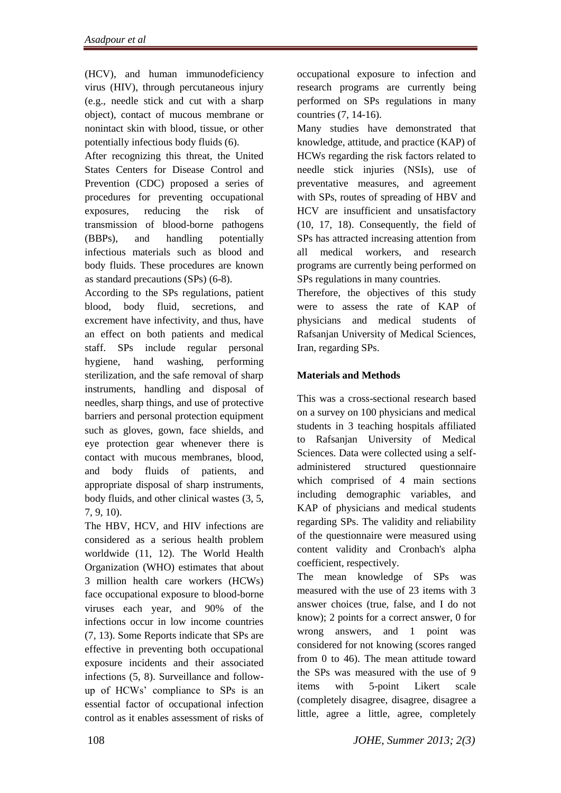(HCV), and human immunodeficiency virus (HIV), through percutaneous injury (e.g., needle stick and cut with a sharp object), contact of mucous membrane or nonintact skin with blood, tissue, or other potentially infectious body fluids (6).

After recognizing this threat, the United States Centers for Disease Control and Prevention (CDC) proposed a series of procedures for preventing occupational exposures, reducing the risk of transmission of blood-borne pathogens (BBPs), and handling potentially infectious materials such as blood and body fluids. These procedures are known as standard precautions (SPs) (6-8).

According to the SPs regulations, patient blood, body fluid, secretions, and excrement have infectivity, and thus, have an effect on both patients and medical staff. SPs include regular personal hygiene, hand washing, performing sterilization, and the safe removal of sharp instruments, handling and disposal of needles, sharp things, and use of protective barriers and personal protection equipment such as gloves, gown, face shields, and eye protection gear whenever there is contact with mucous membranes, blood, and body fluids of patients, and appropriate disposal of sharp instruments, body fluids, and other clinical wastes (3, 5, 7, 9, 10).

The HBV, HCV, and HIV infections are considered as a serious health problem worldwide (11, 12). The World Health Organization (WHO) estimates that about 3 million health care workers (HCWs) face occupational exposure to blood-borne viruses each year, and 90% of the infections occur in low income countries (7, 13). Some Reports indicate that SPs are effective in preventing both occupational exposure incidents and their associated infections (5, 8). Surveillance and followup of HCWs' compliance to SPs is an essential factor of occupational infection control as it enables assessment of risks of occupational exposure to infection and research programs are currently being performed on SPs regulations in many countries (7, 14-16).

Many studies have demonstrated that knowledge, attitude, and practice (KAP) of HCWs regarding the risk factors related to needle stick injuries (NSIs), use of preventative measures, and agreement with SPs, routes of spreading of HBV and HCV are insufficient and unsatisfactory (10, 17, 18). Consequently, the field of SPs has attracted increasing attention from all medical workers, and research programs are currently being performed on SPs regulations in many countries.

Therefore, the objectives of this study were to assess the rate of KAP of physicians and medical students of Rafsanjan University of Medical Sciences, Iran, regarding SPs.

# **Materials and Methods**

This was a cross-sectional research based on a survey on 100 physicians and medical students in 3 teaching hospitals affiliated to Rafsanjan University of Medical Sciences. Data were collected using a selfadministered structured questionnaire which comprised of 4 main sections including demographic variables, and KAP of physicians and medical students regarding SPs. The validity and reliability of the questionnaire were measured using content validity and Cronbach's alpha coefficient, respectively.

The mean knowledge of SPs was measured with the use of 23 items with 3 answer choices (true, false, and I do not know); 2 points for a correct answer, 0 for wrong answers, and 1 point was considered for not knowing (scores ranged from 0 to 46). The mean attitude toward the SPs was measured with the use of 9 items with 5-point [Likert scale](http://www.google.com/url?q=http://en.wikipedia.org/wiki/Likert_scale&sa=U&ei=K_WOU7feE8mwOfuqgIgJ&ved=0CBgQFjAA&usg=AFQjCNFh0lQSU4q2Zv9kw2DTAk4xTpxjTQ)  (completely disagree, disagree, disagree a little, agree a little, agree, completely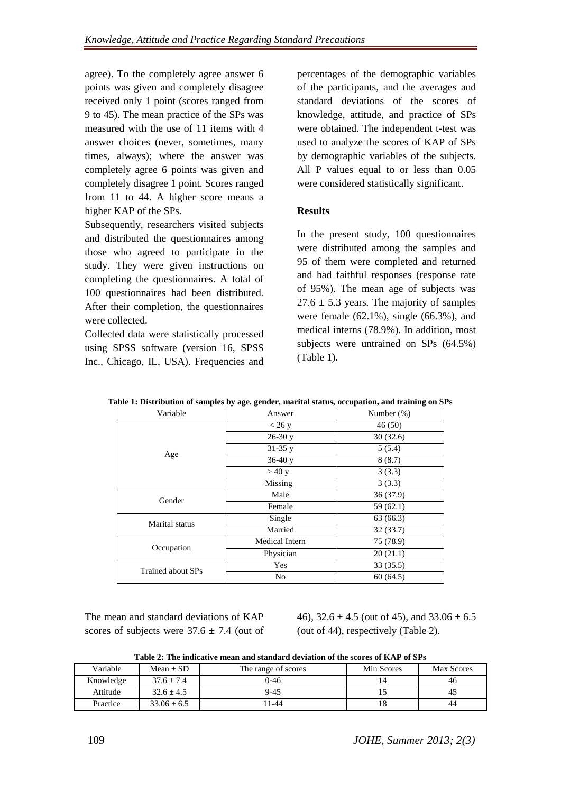agree). To the completely agree answer 6 points was given and completely disagree received only 1 point (scores ranged from 9 to 45). The mean practice of the SPs was measured with the use of 11 items with 4 answer choices (never, sometimes, many times, always); where the answer was completely agree 6 points was given and completely disagree 1 point. Scores ranged from 11 to 44. A higher score means a higher KAP of the SPs.

Subsequently, researchers visited subjects and distributed the questionnaires among those who agreed to participate in the study. They were given instructions on completing the questionnaires. A total of 100 questionnaires had been distributed. After their completion, the questionnaires were collected.

Collected data were statistically processed using SPSS software (version 16, SPSS Inc., Chicago, IL, USA). Frequencies and percentages of the demographic variables of the participants, and the averages and standard deviations of the scores of knowledge, attitude, and practice of SPs were obtained. The independent t-test was used to analyze the scores of KAP of SPs by demographic variables of the subjects. All P values equal to or less than 0.05 were considered statistically significant.

## **Results**

In the present study, 100 questionnaires were distributed among the samples and 95 of them were completed and returned and had faithful responses (response rate of 95%). The mean age of subjects was  $27.6 \pm 5.3$  years. The majority of samples were female  $(62.1\%)$ , single  $(66.3\%)$ , and medical interns (78.9%). In addition, most subjects were untrained on SPs (64.5%) (Table 1).

| Variable          | Answer         | Number $(\%)$ |  |
|-------------------|----------------|---------------|--|
| Age               | $<$ 26 y       | 46(50)        |  |
|                   | $26-30y$       | 30(32.6)      |  |
|                   | $31-35y$       | 5(5.4)        |  |
|                   | $36-40y$       | 8(8.7)        |  |
|                   | >40 y          | 3(3.3)        |  |
|                   | Missing        | 3(3.3)        |  |
| Gender            | Male           | 36(37.9)      |  |
|                   | Female         | 59(62.1)      |  |
| Marital status    | Single         | 63 (66.3)     |  |
|                   | Married        | 32(33.7)      |  |
| Occupation        | Medical Intern | 75 (78.9)     |  |
|                   | Physician      | 20(21.1)      |  |
|                   | Yes            | 33(35.5)      |  |
| Trained about SPs | No             | 60(64.5)      |  |

**Table 1: Distribution of samples by age, gender, marital status, occupation, and training on SPs** 

The mean and standard deviations of KAP scores of subjects were  $37.6 \pm 7.4$  (out of 46),  $32.6 \pm 4.5$  (out of 45), and  $33.06 \pm 6.5$ (out of 44), respectively (Table 2).

**Table 2: The indicative mean and standard deviation of the scores of KAP of SPs**

| Variable  | Mean $\pm$ SD   | The range of scores | Min Scores | <b>Max Scores</b> |
|-----------|-----------------|---------------------|------------|-------------------|
| Knowledge | $37.6 + 7.4$    | $0 - 46$            | 14         | 46                |
| Attitude  | $32.6 + 4.5$    | 9-45                |            | 43                |
| Practice  | $33.06 \pm 6.5$ | $1 - 44$            | 18         | 44                |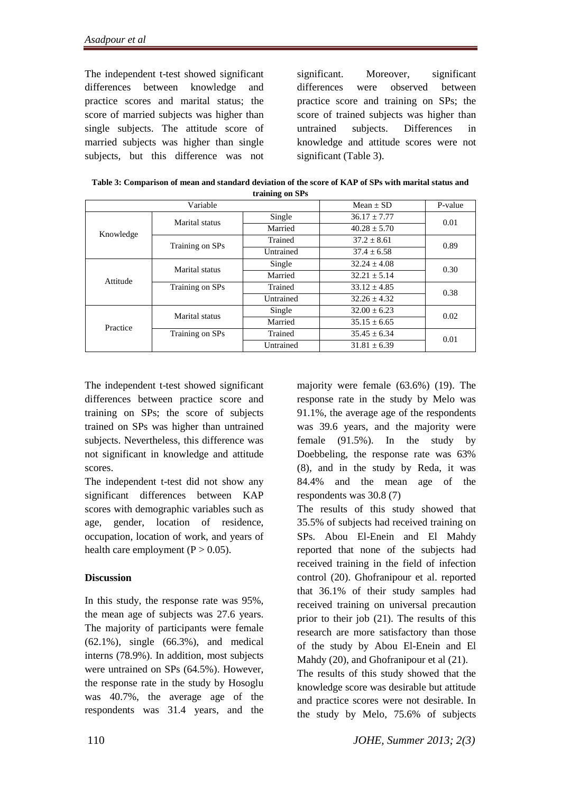The independent t-test showed significant differences between knowledge and practice scores and marital status; the score of married subjects was higher than single subjects. The attitude score of married subjects was higher than single subjects, but this difference was not significant. Moreover, significant differences were observed between practice score and training on SPs; the score of trained subjects was higher than untrained subjects. Differences in knowledge and attitude scores were not significant (Table 3).

|           |                                   | u annue ou or s |                  |         |
|-----------|-----------------------------------|-----------------|------------------|---------|
|           | Variable                          |                 | Mean $\pm$ SD    | P-value |
| Knowledge | Marital status                    | Single          | $36.17 \pm 7.77$ | 0.01    |
|           |                                   | Married         | $40.28 + 5.70$   |         |
|           | Training on SPs                   | Trained         | $37.2 \pm 8.61$  | 0.89    |
|           |                                   | Untrained       | $37.4 \pm 6.58$  |         |
| Attitude  | Marital status<br>Training on SPs | Single          | $32.24 \pm 4.08$ | 0.30    |
|           |                                   | Married         | $32.21 \pm 5.14$ |         |
|           |                                   | Trained         | $33.12 \pm 4.85$ | 0.38    |
|           |                                   | Untrained       | $32.26 \pm 4.32$ |         |
| Practice  | Marital status                    | Single          | $32.00 \pm 6.23$ | 0.02    |
|           |                                   | Married         | $35.15 \pm 6.65$ |         |
|           | Training on SPs                   | Trained         | $35.45 \pm 6.34$ | 0.01    |
|           |                                   | Untrained       | $31.81 \pm 6.39$ |         |

| Table 3: Comparison of mean and standard deviation of the score of KAP of SPs with marital status and |
|-------------------------------------------------------------------------------------------------------|
| training on SPs                                                                                       |

The independent t-test showed significant differences between practice score and training on SPs; the score of subjects trained on SPs was higher than untrained subjects. Nevertheless, this difference was not significant in knowledge and attitude scores.

The independent t-test did not show any significant differences between KAP scores with demographic variables such as age, gender, location of residence, occupation, location of work, and years of health care employment  $(P > 0.05)$ .

### **Discussion**

In this study, the response rate was 95%, the mean age of subjects was 27.6 years. The majority of participants were female (62.1%), single (66.3%), and medical interns (78.9%). In addition, most subjects were untrained on SPs (64.5%). However, the response rate in the study by Hosoglu was 40.7%, the average age of the respondents was 31.4 years, and the majority were female (63.6%) (19). The response rate in the study by Melo was 91.1%, the average age of the respondents was 39.6 years, and the majority were female (91.5%). In the study by Doebbeling, the response rate was 63% (8), and in the study by Reda, it was 84.4% and the mean age of the respondents was 30.8 (7)

The results of this study showed that 35.5% of subjects had received training on SPs. Abou El-Enein and El Mahdy reported that none of the subjects had received training in the field of infection control (20). Ghofranipour et al. reported that 36.1% of their study samples had received training on universal precaution prior to their job (21). The results of this research are more satisfactory than those of the study by Abou El-Enein and El Mahdy (20), and Ghofranipour et al (21). The results of this study showed that the knowledge score was desirable but attitude and practice scores were not desirable. In the study by Melo, 75.6% of subjects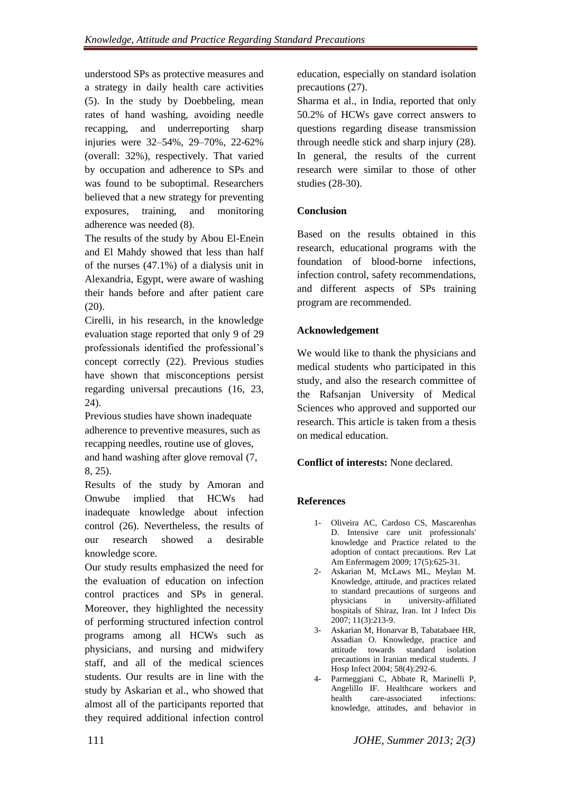understood SPs as protective measures and a strategy in daily health care activities (5). In the study by Doebbeling, mean rates of hand washing, avoiding needle recapping, and underreporting sharp injuries were 32–54%, 29–70%, 22-62% (overall: 32%), respectively. That varied by occupation and adherence to SPs and was found to be suboptimal. Researchers believed that a new strategy for preventing exposures, training, and monitoring adherence was needed (8).

The results of the study by Abou El-Enein and El Mahdy showed that less than half of the nurses (47.1%) of a dialysis unit in Alexandria, Egypt, were aware of washing their hands before and after patient care  $(20)$ .

Cirelli, in his research, in the knowledge evaluation stage reported that only 9 of 29 professionals identified the professional's concept correctly (22). Previous studies have shown that misconceptions persist regarding universal precautions (16, 23, 24).

Previous studies have shown inadequate adherence to preventive measures, such as recapping needles, routine use of gloves, and hand washing after glove removal (7, 8, 25).

Results of the study by [Amoran a](http://www.ncbi.nlm.nih.gov/pubmed/?term=Amoran%20O%5BAuthor%5D&cauthor=true&cauthor_uid=24672178)nd [Onwube i](http://www.ncbi.nlm.nih.gov/pubmed/?term=Onwube%20O%5BAuthor%5D&cauthor=true&cauthor_uid=24672178)mplied that HCWs had inadequate knowledge about infection control (26). Nevertheless, the results of our research showed a desirable knowledge score.

Our study results emphasized the need for the evaluation of education on infection control practices and SPs in general. Moreover, they highlighted the necessity of performing structured infection control programs among all HCWs such as physicians, and nursing and midwifery staff, and all of the medical sciences students. Our results are in line with the study by Askarian et al., who showed that almost all of the participants reported that they required additional infection control

education, especially on standard isolation precautions (27).

Sharma et al., in India, reported that only 50.2% of HCWs gave correct answers to questions regarding disease transmission through needle stick and sharp injury (28). In general, the results of the current research were similar to those of other studies (28-30).

# **Conclusion**

Based on the results obtained in this research, educational programs with the foundation of blood-borne infections, infection control, safety recommendations, and different aspects of SPs training program are recommended.

# **Acknowledgement**

We would like to thank the physicians and medical students who participated in this study, and also the research committee of the Rafsanjan University of Medical Sciences who approved and supported our research. This article is taken from a thesis on medical education.

# **Conflict of interests:** None declared.

# **References**

- 1- Oliveira AC, Cardoso CS, Mascarenhas D. Intensive care unit professionals' knowledge and Practice related to the adoption of contact precautions. Rev Lat Am Enfermagem 2009; 17(5):625-31.
- 2- Askarian M, McLaws ML, Meylan M. Knowledge, attitude, and practices related to standard precautions of surgeons and physicians in university-affiliated hospitals of Shiraz, Iran. Int J Infect Dis 2007; 11(3):213-9.
- 3- Askarian M, Honarvar B, Tabatabaee HR, Assadian O. Knowledge, practice and attitude towards standard isolation precautions in Iranian medical students. J Hosp Infect 2004; 58(4):292-6.
- 4- Parmeggiani C, Abbate R, Marinelli P, Angelillo IF. Healthcare workers and health care-associated infections: knowledge, attitudes, and behavior in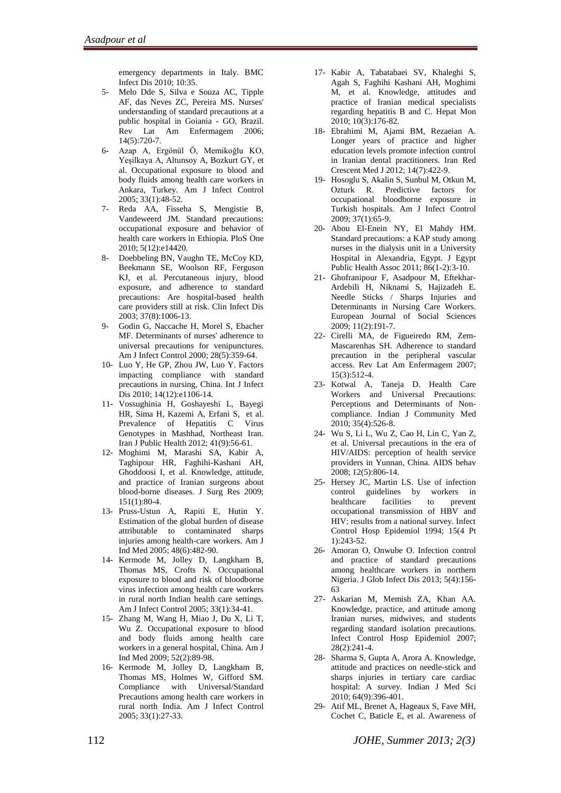emergency departments in Italy. BMC Infect Dis 2010; 10:35.

- 5- Melo Dde S, Silva e Souza AC, Tipple AF, das Neves ZC, Pereira MS. Nurses' understanding of standard precautions at a public hospital in Goiania - GO, Brazil. Rev Lat Am Enfermagem 2006; 14(5):720-7.
- 6- Azap A, Ergönül Ö, Memikoğlu KO, [Yeşilkaya A,](http://www.ncbi.nlm.nih.gov/pubmed/?term=Ye%C5%9Filkaya%20A%5BAuthor%5D&cauthor=true&cauthor_uid=15685135) [Altunsoy A,](http://www.ncbi.nlm.nih.gov/pubmed/?term=Altunsoy%20A%5BAuthor%5D&cauthor=true&cauthor_uid=15685135) [Bozkurt GY,](http://www.ncbi.nlm.nih.gov/pubmed/?term=Bozkurt%20GY%5BAuthor%5D&cauthor=true&cauthor_uid=15685135) et al. Occupational exposure to blood and body fluids among health care workers in Ankara, Turkey. Am J Infect Control 2005; 33(1):48-52.
- 7- Reda AA, Fisseha S, Mengistie B, Vandeweerd JM. Standard precautions: occupational exposure and behavior of health care workers in Ethiopia. PloS One 2010; 5(12):e14420.
- 8- Doebbeling BN, Vaughn TE, McCoy KD, Beekmann SE, Woolson RF, Ferguson KJ, et al. Percutaneous injury, blood exposure, and adherence to standard precautions: Are hospital-based health care providers still at risk. Clin Infect Dis 2003; 37(8):1006-13.
- 9- Godin G, Naccache H, Morel S, Ebacher MF. Determinants of nurses' adherence to universal precautions for venipunctures. Am J Infect Control 2000; 28(5):359-64.
- 10- Luo Y, He GP, Zhou JW, Luo Y. Factors impacting compliance with standard precautions in nursing, China. Int J Infect Dis 2010; 14(12):e1106-14.
- 11- Vossughinia H, Goshayeshi L, Bayegi HR, [Sima H,](http://www.ncbi.nlm.nih.gov/pubmed/?term=Sima%20H%5BAuthor%5D&cauthor=true&cauthor_uid=23193507) [Kazemi A,](http://www.ncbi.nlm.nih.gov/pubmed/?term=Kazemi%20A%5BAuthor%5D&cauthor=true&cauthor_uid=23193507) [Erfani S,](http://www.ncbi.nlm.nih.gov/pubmed/?term=Erfani%20S%5BAuthor%5D&cauthor=true&cauthor_uid=23193507) et al. Prevalence of Hepatitis C Virus Genotypes in Mashhad, Northeast Iran. Iran J Public Health 2012; 41(9):56-61.
- 12- Moghimi M, Marashi SA, Kabir A, [Taghipour HR,](http://www.ncbi.nlm.nih.gov/pubmed/?term=Taghipour%20HR%5BAuthor%5D&cauthor=true&cauthor_uid=18599085) [Faghihi-Kashani AH,](http://www.ncbi.nlm.nih.gov/pubmed/?term=Faghihi-Kashani%20AH%5BAuthor%5D&cauthor=true&cauthor_uid=18599085)  [Ghoddoosi I,](http://www.ncbi.nlm.nih.gov/pubmed/?term=Ghoddoosi%20I%5BAuthor%5D&cauthor=true&cauthor_uid=18599085) et al. Knowledge, attitude, and practice of Iranian surgeons about blood-borne diseases. J Surg Res 2009; 151(1):80-4.
- 13- Pruss-Ustun A, Rapiti E, Hutin Y. Estimation of the global burden of disease attributable to contaminated sharps injuries among health-care workers. Am J Ind Med 2005; 48(6):482-90.
- 14- Kermode M, Jolley D, Langkham B, Thomas MS, Crofts N. Occupational exposure to blood and risk of bloodborne virus infection among health care workers in rural north Indian health care settings. Am J Infect Control 2005; 33(1):34-41.
- 15- Zhang M, Wang H, Miao J, Du X, Li T, Wu Z. Occupational exposure to blood and body fluids among health care workers in a general hospital, China. Am J Ind Med 2009; 52(2):89-98.
- 16- Kermode M, Jolley D, Langkham B, Thomas MS, Holmes W, Gifford SM. Compliance with Universal/Standard Precautions among health care workers in rural north India. Am J Infect Control 2005; 33(1):27-33.
- 17- Kabir A, Tabatabaei SV, Khaleghi S, [Agah S,](http://www.ncbi.nlm.nih.gov/pubmed/?term=Agah%20S%5BAuthor%5D&cauthor=true&cauthor_uid=22308136) [Faghihi Kashani AH,](http://www.ncbi.nlm.nih.gov/pubmed/?term=Faghihi%20Kashani%20AH%5BAuthor%5D&cauthor=true&cauthor_uid=22308136) [Moghimi](http://www.ncbi.nlm.nih.gov/pubmed/?term=Moghimi%20M%5BAuthor%5D&cauthor=true&cauthor_uid=22308136)  [M,](http://www.ncbi.nlm.nih.gov/pubmed/?term=Moghimi%20M%5BAuthor%5D&cauthor=true&cauthor_uid=22308136) et al. Knowledge, attitudes and practice of Iranian medical specialists regarding hepatitis B and C. Hepat Mon 2010; 10(3):176-82.
- 18- Ebrahimi M, Ajami BM, Rezaeian A. Longer years of practice and higher education levels promote infection control in Iranian dental practitioners. Iran Red Crescent Med J 2012; 14(7):422-9.
- 19- Hosoglu S, Akalin S, Sunbul M, Otkun M, Ozturk R. Predictive factors for occupational bloodborne exposure in Turkish hospitals. Am J Infect Control 2009; 37(1):65-9.
- 20- Abou El-Enein NY, El Mahdy HM. Standard precautions: a KAP study among nurses in the dialysis unit in a University Hospital in Alexandria, Egypt. J Egypt Public Health Assoc 2011; 86(1-2):3-10.
- 21- Ghofranipour F, Asadpour M, Eftekhar-Ardebili H, Niknami S, Hajizadeh E. Needle Sticks / Sharps Injuries and Determinants in Nursing Care Workers. European Journal of Social Sciences 2009; 11(2):191-7.
- 22- Cirelli MA, de Figueiredo RM, Zem-Mascarenhas SH. Adherence to standard precaution in the peripheral vascular access. Rev Lat Am Enfermagem 2007; 15(3):512-4.
- 23- Kotwal A, Taneja D. Health Care Workers and Universal Precautions: Perceptions and Determinants of Noncompliance. Indian J Community Med 2010; 35(4):526-8.
- 24- Wu S, Li L, Wu Z, [Cao H,](http://www.ncbi.nlm.nih.gov/pubmed/?term=Cao%20H%5BAuthor%5D&cauthor=true&cauthor_uid=17641967) [Lin C,](http://www.ncbi.nlm.nih.gov/pubmed/?term=Lin%20C%5BAuthor%5D&cauthor=true&cauthor_uid=17641967) [Yan Z,](http://www.ncbi.nlm.nih.gov/pubmed/?term=Yan%20Z%5BAuthor%5D&cauthor=true&cauthor_uid=17641967) et al. Universal precautions in the era of HIV/AIDS: perception of health service providers in Yunnan, China. AIDS behav 2008; 12(5):806-14.
- 25- Hersey JC, Martin LS. Use of infection control guidelines by workers in healthcare facilities to prevent occupational transmission of HBV and HIV: results from a national survey. Infect Control Hosp Epidemiol 1994; 15(4 Pt 1):243-52.
- 26- [Amoran O,](http://www.ncbi.nlm.nih.gov/pubmed/?term=Amoran%20O%5BAuthor%5D&cauthor=true&cauthor_uid=24672178) [Onwube O.](http://www.ncbi.nlm.nih.gov/pubmed/?term=Onwube%20O%5BAuthor%5D&cauthor=true&cauthor_uid=24672178) Infection control and practice of standard precautions among healthcare workers in northern Nigeria. [J Glob Infect Dis](http://www.ncbi.nlm.nih.gov/pubmed/24672178) 2013; 5(4):156- 63
- 27- Askarian M, Memish ZA, Khan AA. Knowledge, practice, and attitude among Iranian nurses, midwives, and students regarding standard isolation precautions. Infect Control Hosp Epidemiol 2007; 28(2):241-4.
- 28- Sharma S, Gupta A, Arora A. Knowledge, attitude and practices on needle-stick and sharps injuries in tertiary care cardiac hospital: A survey. Indian J Med Sci 2010; 64(9):396-401.
- 29- Atif ML, Brenet A, Hageaux S, [Fave MH,](http://www.ncbi.nlm.nih.gov/pubmed/?term=Fave%20MH%5BAuthor%5D&cauthor=true&cauthor_uid=23290383) [Cochet C,](http://www.ncbi.nlm.nih.gov/pubmed/?term=Cochet%20C%5BAuthor%5D&cauthor=true&cauthor_uid=23290383) [Baticle E,](http://www.ncbi.nlm.nih.gov/pubmed/?term=Baticle%20E%5BAuthor%5D&cauthor=true&cauthor_uid=23290383) et al. Awareness of